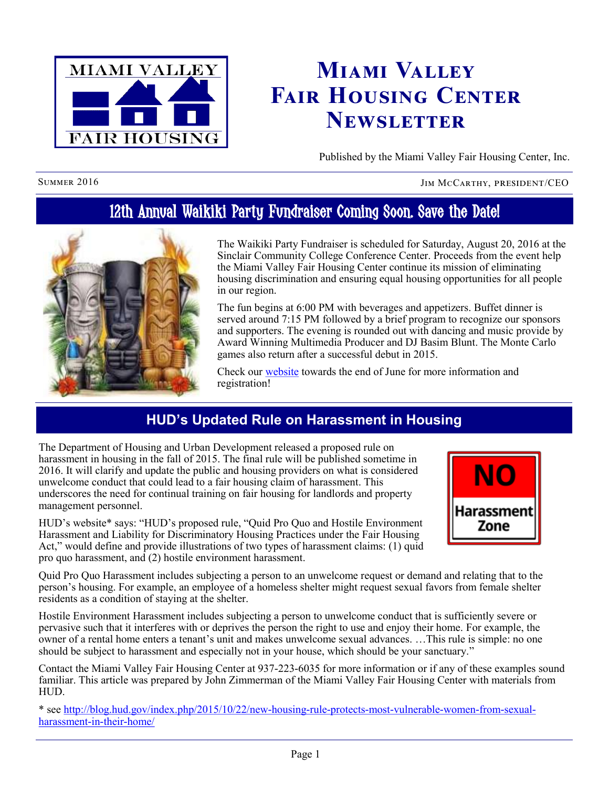

# **Miami Valley Fair Housing Center Newsletter**

Published by the Miami Valley Fair Housing Center, Inc.

SUMMER 2016 JIM MCCARTHY, PRESIDENT/CEO

## 12th Annual Waikiki Party Fundraiser Coming Soon. Save the Date!



The Waikiki Party Fundraiser is scheduled for Saturday, August 20, 2016 at the Sinclair Community College Conference Center. Proceeds from the event help the Miami Valley Fair Housing Center continue its mission of eliminating housing discrimination and ensuring equal housing opportunities for all people in our region.

The fun begins at 6:00 PM with beverages and appetizers. Buffet dinner is served around 7:15 PM followed by a brief program to recognize our sponsors and supporters. The evening is rounded out with dancing and music provide by Award Winning Multimedia Producer and DJ Basim Blunt. The Monte Carlo games also return after a successful debut in 2015.

Check our [website](http://www.mvfairhousing.com) towards the end of June for more information and registration!

## **HUD's Updated Rule on Harassment in Housing**

The Department of Housing and Urban Development released a proposed rule on harassment in housing in the fall of 2015. The final rule will be published sometime in 2016. It will clarify and update the public and housing providers on what is considered unwelcome conduct that could lead to a fair housing claim of harassment. This underscores the need for continual training on fair housing for landlords and property management personnel.

HUD's website\* says: "HUD's proposed rule, "Quid Pro Quo and Hostile Environment Harassment and Liability for Discriminatory Housing Practices under the Fair Housing Act," would define and provide illustrations of two types of harassment claims: (1) quid pro quo harassment, and (2) hostile environment harassment.



Quid Pro Quo Harassment includes subjecting a person to an unwelcome request or demand and relating that to the person's housing. For example, an employee of a homeless shelter might request sexual favors from female shelter residents as a condition of staying at the shelter.

Hostile Environment Harassment includes subjecting a person to unwelcome conduct that is sufficiently severe or pervasive such that it interferes with or deprives the person the right to use and enjoy their home. For example, the owner of a rental home enters a tenant's unit and makes unwelcome sexual advances. …This rule is simple: no one should be subject to harassment and especially not in your house, which should be your sanctuary."

Contact the Miami Valley Fair Housing Center at 937-223-6035 for more information or if any of these examples sound familiar. This article was prepared by John Zimmerman of the Miami Valley Fair Housing Center with materials from HUD.

\* see [http://blog.hud.gov/index.php/2015/10/22/new-housing-rule-protects-most-vulnerable-women-from-sexual](http://blog.hud.gov/index.php/2015/10/22/new-housing-rule-protects-most-vulnerable-women-from-sexual-harassment-in-their-home/)[harassment-in-their-home/](http://blog.hud.gov/index.php/2015/10/22/new-housing-rule-protects-most-vulnerable-women-from-sexual-harassment-in-their-home/)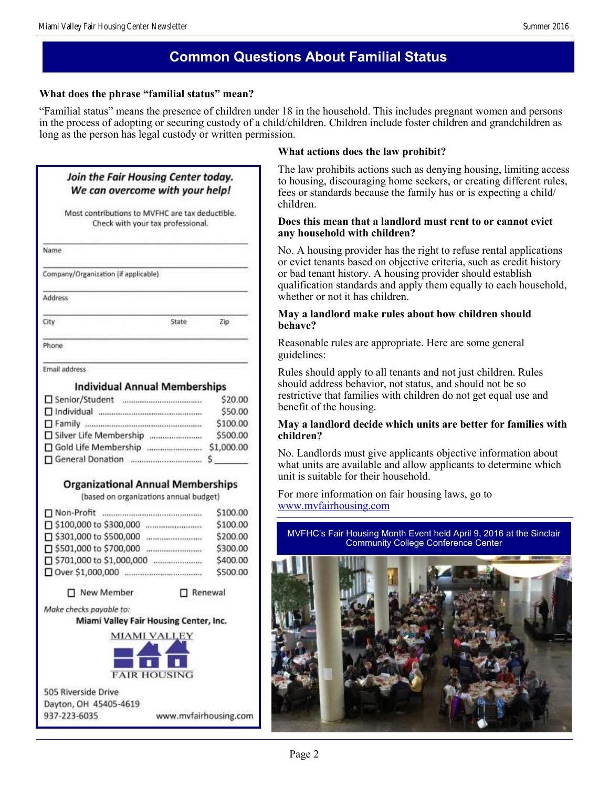## **Common Questions About Familial Status**

## **What does the phrase "familial status" mean?**

"Familial status" means the presence of children under 18 in the household. This includes pregnant women and persons in the process of adopting or securing custody of a child/children. Children include foster children and grandchildren as long as the person has legal custody or written permission.

**What actions does the law prohibit?**

| Join the Fair Housing Center today.<br>We can overcome with your help!<br>Most contributions to MVFHC are tax deductible.<br>Check with your tax professional.<br>Name<br>Company/Organization (if applicable)<br>Address |                                 | The law prohibits actions such as denying housing, limiting access<br>to housing, discouraging home seekers, or creating different rules,<br>fees or standards because the family has or is expecting a child/<br>children.<br>Does this mean that a landlord must rent to or cannot evict<br>any household with children?<br>No. A housing provider has the right to refuse rental applications<br>or evict tenants based on objective criteria, such as credit history<br>or bad tenant history. A housing provider should establish<br>qualification standards and apply them equally to each household,<br>whether or not it has children. |                                                                  |     |                                                                                                                                                                                                                            |
|---------------------------------------------------------------------------------------------------------------------------------------------------------------------------------------------------------------------------|---------------------------------|------------------------------------------------------------------------------------------------------------------------------------------------------------------------------------------------------------------------------------------------------------------------------------------------------------------------------------------------------------------------------------------------------------------------------------------------------------------------------------------------------------------------------------------------------------------------------------------------------------------------------------------------|------------------------------------------------------------------|-----|----------------------------------------------------------------------------------------------------------------------------------------------------------------------------------------------------------------------------|
|                                                                                                                                                                                                                           |                                 |                                                                                                                                                                                                                                                                                                                                                                                                                                                                                                                                                                                                                                                | State<br>City                                                    | Zip | May a landlord make rules about how children should<br>behave?                                                                                                                                                             |
|                                                                                                                                                                                                                           |                                 |                                                                                                                                                                                                                                                                                                                                                                                                                                                                                                                                                                                                                                                | Phone                                                            |     | Reasonable rules are appropriate. Here are some general<br>guidelines:                                                                                                                                                     |
|                                                                                                                                                                                                                           |                                 |                                                                                                                                                                                                                                                                                                                                                                                                                                                                                                                                                                                                                                                | Email address<br><b>Individual Annual Memberships</b><br>\$20.00 |     | Rules should apply to all tenants and not just children. Rules<br>should address behavior, not status, and should not be so<br>restrictive that families with children do not get equal use and<br>benefit of the housing. |
| Silver Life Membership                                                                                                                                                                                                    | \$50.00<br>\$100.00<br>\$500.00 | May a landlord decide which units are better for families with<br>children?                                                                                                                                                                                                                                                                                                                                                                                                                                                                                                                                                                    |                                                                  |     |                                                                                                                                                                                                                            |
|                                                                                                                                                                                                                           | \$1,000.00                      | No. Landlords must give applicants objective information about<br>what units are available and allow applicants to determine which<br>unit is suitable for their household.                                                                                                                                                                                                                                                                                                                                                                                                                                                                    |                                                                  |     |                                                                                                                                                                                                                            |
| <b>Organizational Annual Memberships</b><br>(based on organizations annual budget)                                                                                                                                        |                                 | For more information on fair housing laws, go to                                                                                                                                                                                                                                                                                                                                                                                                                                                                                                                                                                                               |                                                                  |     |                                                                                                                                                                                                                            |
|                                                                                                                                                                                                                           | \$100.00                        | www.mvfairhousing.com                                                                                                                                                                                                                                                                                                                                                                                                                                                                                                                                                                                                                          |                                                                  |     |                                                                                                                                                                                                                            |
|                                                                                                                                                                                                                           | \$100.00                        | MVFHC's Fair Housing Month Event held April 9, 2016 at the Sinclair                                                                                                                                                                                                                                                                                                                                                                                                                                                                                                                                                                            |                                                                  |     |                                                                                                                                                                                                                            |
|                                                                                                                                                                                                                           | \$200.00                        | <b>Community College Conference Center</b>                                                                                                                                                                                                                                                                                                                                                                                                                                                                                                                                                                                                     |                                                                  |     |                                                                                                                                                                                                                            |
|                                                                                                                                                                                                                           | \$300.00<br>\$400.00            |                                                                                                                                                                                                                                                                                                                                                                                                                                                                                                                                                                                                                                                |                                                                  |     |                                                                                                                                                                                                                            |
|                                                                                                                                                                                                                           | \$500.00                        |                                                                                                                                                                                                                                                                                                                                                                                                                                                                                                                                                                                                                                                |                                                                  |     |                                                                                                                                                                                                                            |
| □ New Member                                                                                                                                                                                                              | Renewal                         |                                                                                                                                                                                                                                                                                                                                                                                                                                                                                                                                                                                                                                                |                                                                  |     |                                                                                                                                                                                                                            |
| Make checks payable to:<br>Miami Valley Fair Housing Center, Inc.                                                                                                                                                         |                                 |                                                                                                                                                                                                                                                                                                                                                                                                                                                                                                                                                                                                                                                |                                                                  |     |                                                                                                                                                                                                                            |
| <b>MIAMI VALLEY</b>                                                                                                                                                                                                       |                                 |                                                                                                                                                                                                                                                                                                                                                                                                                                                                                                                                                                                                                                                |                                                                  |     |                                                                                                                                                                                                                            |
| <b>FAIR HOUSING</b>                                                                                                                                                                                                       |                                 |                                                                                                                                                                                                                                                                                                                                                                                                                                                                                                                                                                                                                                                |                                                                  |     |                                                                                                                                                                                                                            |
| 505 Riverside Drive                                                                                                                                                                                                       |                                 |                                                                                                                                                                                                                                                                                                                                                                                                                                                                                                                                                                                                                                                |                                                                  |     |                                                                                                                                                                                                                            |
| Dayton, OH 45405-4619                                                                                                                                                                                                     |                                 |                                                                                                                                                                                                                                                                                                                                                                                                                                                                                                                                                                                                                                                |                                                                  |     |                                                                                                                                                                                                                            |
| 937-223-6035                                                                                                                                                                                                              | www.mvfairhousing.com           |                                                                                                                                                                                                                                                                                                                                                                                                                                                                                                                                                                                                                                                |                                                                  |     |                                                                                                                                                                                                                            |
|                                                                                                                                                                                                                           |                                 |                                                                                                                                                                                                                                                                                                                                                                                                                                                                                                                                                                                                                                                |                                                                  |     |                                                                                                                                                                                                                            |